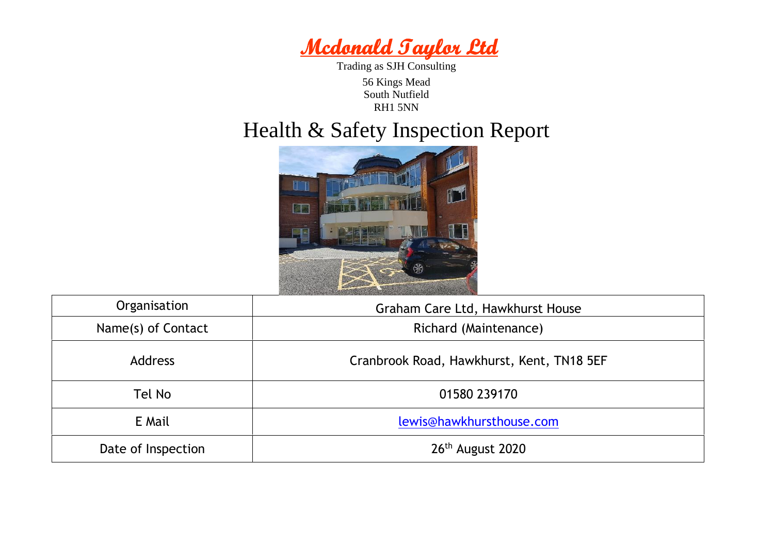

Trading as SJH Consulting

56 Kings Mead South Nutfield RH1 5NN

## Health & Safety Inspection Report



| Organisation       | Graham Care Ltd, Hawkhurst House          |  |
|--------------------|-------------------------------------------|--|
| Name(s) of Contact | Richard (Maintenance)                     |  |
| <b>Address</b>     | Cranbrook Road, Hawkhurst, Kent, TN18 5EF |  |
| Tel No             | 01580 239170                              |  |
| E Mail             | lewis@hawkhursthouse.com                  |  |
| Date of Inspection | 26 <sup>th</sup> August 2020              |  |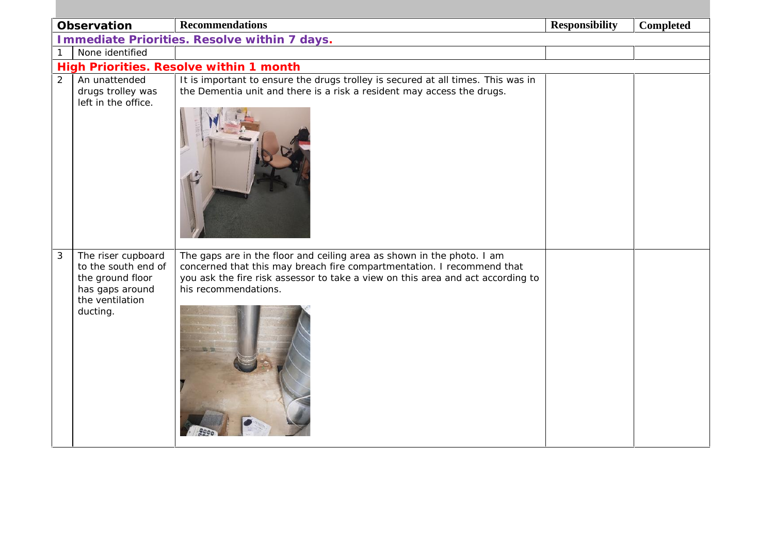| Observation                                                                                                                       | <b>Recommendations</b>                                                                                                                                                                                                                                      | <b>Responsibility</b> | Completed |  |  |  |
|-----------------------------------------------------------------------------------------------------------------------------------|-------------------------------------------------------------------------------------------------------------------------------------------------------------------------------------------------------------------------------------------------------------|-----------------------|-----------|--|--|--|
| Immediate Priorities. Resolve within 7 days.                                                                                      |                                                                                                                                                                                                                                                             |                       |           |  |  |  |
| None identified                                                                                                                   |                                                                                                                                                                                                                                                             |                       |           |  |  |  |
|                                                                                                                                   | High Priorities. Resolve within 1 month                                                                                                                                                                                                                     |                       |           |  |  |  |
| $\overline{2}$<br>An unattended<br>drugs trolley was<br>left in the office.                                                       | It is important to ensure the drugs trolley is secured at all times. This was in<br>the Dementia unit and there is a risk a resident may access the drugs.                                                                                                  |                       |           |  |  |  |
| $\mathfrak{Z}$<br>The riser cupboard<br>to the south end of<br>the ground floor<br>has gaps around<br>the ventilation<br>ducting. | The gaps are in the floor and ceiling area as shown in the photo. I am<br>concerned that this may breach fire compartmentation. I recommend that<br>you ask the fire risk assessor to take a view on this area and act according to<br>his recommendations. |                       |           |  |  |  |